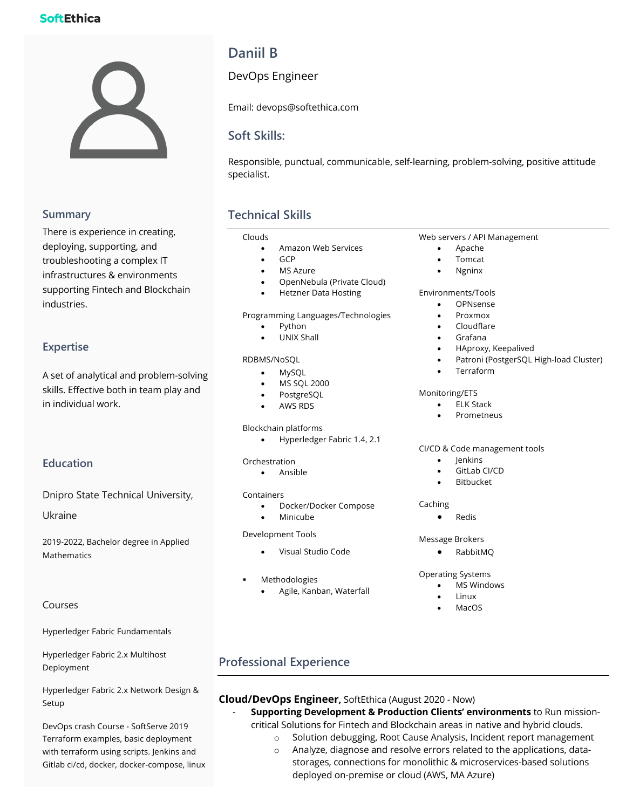# **SoftEthica**



### **Summary**

There is experience in creating, deploying, supporting, and troubleshooting a complex IT infrastructures & environments supporting Fintech and Blockchain industries.

### **Expertise**

A set of analytical and problem-solving skills. Effective both in team play and in individual work.

# **Education**

Dnipro State Technical University,

Ukraine

2019-2022, Bachelor degree in Applied Mathematics

### Courses

Hyperledger Fabric Fundamentals

Hyperledger Fabric 2.x Multihost Deployment

Hyperledger Fabric 2.x Network Design & Setup

DevOps crash Course - SoftServe 2019 Terraform examples, basic deployment with terraform using scripts. Jenkins and Gitlab ci/cd, docker, docker-compose, linux

# **Daniil B**

DevOps Engineer

Email: devops@softethica.com

# **Soft Skills:**

Responsible, punctual, communicable, self-learning, problem-solving, positive attitude specialist.

# **Technical Skills**

#### Clouds

- Amazon Web Services
- GCP
	- MS Azure
	- OpenNebula (Private Cloud)
	- Hetzner Data Hosting

Programming Languages/Technologies

- Python
- UNIX Shall

#### RDBMS/NoSQL

- MySQL
- MS SQL 2000
- PostgreSQL
- AWS RDS

#### Blockchain platforms

• Hyperledger Fabric 1.4, 2.1

#### Orchestration

• Ansible

#### Containers

- Docker/Docker Compose
- **Minicube**

#### Development Tools

- Visual Studio Code
- **Methodologies**

#### • Agile, Kanban, Waterfall

#### Web servers / API Management

- Apache
- Tomcat
- Ngninx

#### Environments/Tools

- OPNsense
- Proxmox
- Cloudflare
- Grafana
- HAproxy, Keepalived
- Patroni (PostgerSQL High-load Cluster)
- **Terraform**

#### Monitoring/ETS

- ELK Stack
- **Prometneus**

#### CI/CD & Code management tools

- Jenkins
- GitLab CI/CD
- **Bitbucket**

#### **Caching**

• Redis

#### Message Brokers

• RabbitMQ

#### Operating Systems

- **MS Windows** 
	- MacOS

# **Professional Experience**

### **Cloud/DevOps Engineer,** SoftEthica (August 2020 - Now)

- **Supporting Development & Production Clients' environments** to Run missioncritical Solutions for Fintech and Blockchain areas in native and hybrid clouds.
	- o Solution debugging, Root Cause Analysis, Incident report management
	- o Analyze, diagnose and resolve errors related to the applications, datastorages, connections for monolithic & microservices-based solutions deployed on-premise or cloud (AWS, MA Azure)

- 
- Linux
-